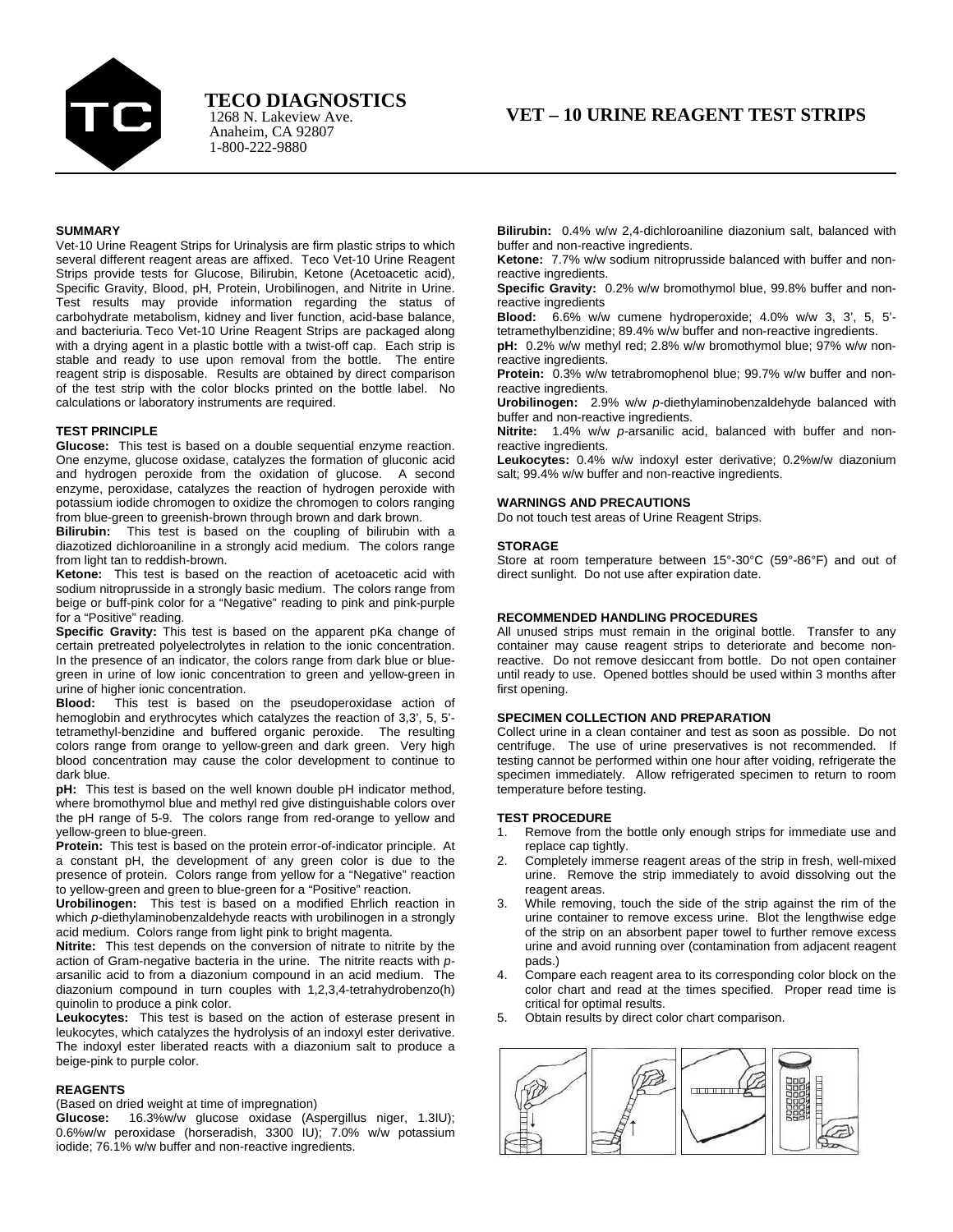

1268 N. Lakeview Ave. **TECO DIAGNOSTICS**

# **SUMMARY**

Vet-10 Urine Reagent Strips for Urinalysis are firm plastic strips to which several different reagent areas are affixed. Teco Vet-10 Urine Reagent Strips provide tests for Glucose, Bilirubin, Ketone (Acetoacetic acid), Specific Gravity, Blood, pH, Protein, Urobilinogen, and Nitrite in Urine. Test results may provide information regarding the status of carbohydrate metabolism, kidney and liver function, acid-base balance, and bacteriuria. Teco Vet-10 Urine Reagent Strips are packaged along with a drying agent in a plastic bottle with a twist-off cap. Each strip is stable and ready to use upon removal from the bottle. The entire reagent strip is disposable. Results are obtained by direct comparison of the test strip with the color blocks printed on the bottle label. No calculations or laboratory instruments are required.

#### **TEST PRINCIPLE**

**Glucose:** This test is based on a double sequential enzyme reaction. One enzyme, glucose oxidase, catalyzes the formation of gluconic acid and hydrogen peroxide from the oxidation of glucose. A second enzyme, peroxidase, catalyzes the reaction of hydrogen peroxide with potassium iodide chromogen to oxidize the chromogen to colors ranging from blue-green to greenish-brown through brown and dark brown.

**Bilirubin:** This test is based on the coupling of bilirubin with a diazotized dichloroaniline in a strongly acid medium. The colors range from light tan to reddish-brown.

**Ketone:** This test is based on the reaction of acetoacetic acid with sodium nitroprusside in a strongly basic medium. The colors range from beige or buff-pink color for a "Negative" reading to pink and pink-purple for a "Positive" reading.

**Specific Gravity:** This test is based on the apparent pKa change of certain pretreated polyelectrolytes in relation to the ionic concentration. In the presence of an indicator, the colors range from dark blue or bluegreen in urine of low ionic concentration to green and yellow-green in urine of higher ionic concentration.

**Blood:** This test is based on the pseudoperoxidase action of hemoglobin and erythrocytes which catalyzes the reaction of 3,3', 5, 5' tetramethyl-benzidine and buffered organic peroxide. The resulting colors range from orange to yellow-green and dark green. Very high blood concentration may cause the color development to continue to dark blue.

**pH:** This test is based on the well known double pH indicator method, where bromothymol blue and methyl red give distinguishable colors over the pH range of 5-9. The colors range from red-orange to yellow and yellow-green to blue-green.

**Protein:** This test is based on the protein error-of-indicator principle. At a constant pH, the development of any green color is due to the presence of protein. Colors range from yellow for a "Negative" reaction to yellow-green and green to blue-green for a "Positive" reaction.

**Urobilinogen:** This test is based on a modified Ehrlich reaction in which *p-*diethylaminobenzaldehyde reacts with urobilinogen in a strongly acid medium. Colors range from light pink to bright magenta.

**Nitrite:** This test depends on the conversion of nitrate to nitrite by the action of Gram-negative bacteria in the urine. The nitrite reacts with *p*arsanilic acid to from a diazonium compound in an acid medium. The diazonium compound in turn couples with 1,2,3,4-tetrahydrobenzo(h) quinolin to produce a pink color.

**Leukocytes:** This test is based on the action of esterase present in leukocytes, which catalyzes the hydrolysis of an indoxyl ester derivative. The indoxyl ester liberated reacts with a diazonium salt to produce a beige-pink to purple color.

### **REAGENTS**

(Based on dried weight at time of impregnation)

**Glucose:** 16.3%w/w glucose oxidase (Aspergillus niger, 1.3IU); 0.6%w/w peroxidase (horseradish, 3300 IU); 7.0% w/w potassium iodide; 76.1% w/w buffer and non-reactive ingredients.

**Bilirubin:** 0.4% w/w 2,4-dichloroaniline diazonium salt, balanced with buffer and non-reactive ingredients.

**Ketone:** 7.7% w/w sodium nitroprusside balanced with buffer and nonreactive ingredients.

**Specific Gravity:** 0.2% w/w bromothymol blue, 99.8% buffer and nonreactive ingredients

**Blood:** 6.6% w/w cumene hydroperoxide; 4.0% w/w 3, 3', 5, 5' tetramethylbenzidine; 89.4% w/w buffer and non-reactive ingredients. **pH:** 0.2% w/w methyl red; 2.8% w/w bromothymol blue; 97% w/w nonreactive ingredients.

**Protein:** 0.3% w/w tetrabromophenol blue; 99.7% w/w buffer and nonreactive ingredients.

**Urobilinogen:** 2.9% w/w *p-*diethylaminobenzaldehyde balanced with buffer and non-reactive ingredients.

**Nitrite:** 1.4% w/w *p-*arsanilic acid, balanced with buffer and nonreactive ingredients.

**Leukocytes:** 0.4% w/w indoxyl ester derivative; 0.2%w/w diazonium salt; 99.4% w/w buffer and non-reactive ingredients.

### **WARNINGS AND PRECAUTIONS**

Do not touch test areas of Urine Reagent Strips.

### **STORAGE**

Store at room temperature between 15°-30°C (59°-86°F) and out of direct sunlight. Do not use after expiration date.

# **RECOMMENDED HANDLING PROCEDURES**

All unused strips must remain in the original bottle. Transfer to any container may cause reagent strips to deteriorate and become nonreactive. Do not remove desiccant from bottle. Do not open container until ready to use. Opened bottles should be used within 3 months after first opening.

# **SPECIMEN COLLECTION AND PREPARATION**

Collect urine in a clean container and test as soon as possible. Do not centrifuge. The use of urine preservatives is not recommended. If testing cannot be performed within one hour after voiding, refrigerate the specimen immediately. Allow refrigerated specimen to return to room temperature before testing.

# **TEST PROCEDURE**

- 1. Remove from the bottle only enough strips for immediate use and replace cap tightly.
- 2. Completely immerse reagent areas of the strip in fresh, well-mixed urine. Remove the strip immediately to avoid dissolving out the reagent areas.
- 3. While removing, touch the side of the strip against the rim of the urine container to remove excess urine. Blot the lengthwise edge of the strip on an absorbent paper towel to further remove excess urine and avoid running over (contamination from adjacent reagent pads.)
- 4. Compare each reagent area to its corresponding color block on the color chart and read at the times specified. Proper read time is critical for optimal results.
- 5. Obtain results by direct color chart comparison.